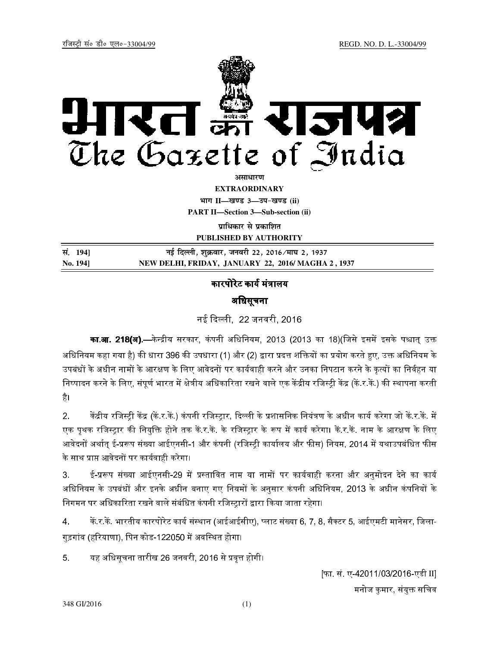

अ**साधार**ण **EXTRAORDINARY Hkkx II—[k.M 3—mi&[k.M (ii) PART II—Section 3—Sub-section (ii)** 

**पाधिकार से प्रकाशित** 

**PUBLISHED BY AUTHORITY**

| सं. 1941 | नई दिल्ली, शुक्रवार, जनवरी 22, 2016 ⁄माघ 2, 1937  |
|----------|---------------------------------------------------|
| No. 1941 | NEW DELHI, FRIDAY, JANUARY 22, 2016/MAGHA 2, 1937 |

## कारपोरेट कार्य मंत्रालय

## अधिसूचना

नई दली, 22 जनवरी, 2016

**का.आ. 218(अ).—**केन्द्रीय सरकार, कंपनी अधिनियम, 2013 (2013 का 18)(जिसे इसमें इसके पश्चात् उक्त अधिनियम कहा गया है) की धारा 396 की उपधारा (1) और (2) द्वारा प्रदत्त शक्तियों का प्रयोग करते हुए, उक्त अधिनियम के उपबंधों के अधीन नामों के आरक्षण के लिए आवेदनों पर कार्यवाही करने और उनका निपटान करने के कृत्यों का निर्वहन या निष्पादन करने के लिए, संपूर्ण भारत में क्षेत्रीय अधिकारिता रखने वाले एक केंद्रीय रजिस्ट्री केंद्र (कें र.कें.) की स्थापना करती है।

2. केंद्रीय रजिस्ट्री केंद्र (कें र.कें.) कंपनी रजिस्ट्रार, दिल्ली के प्रशासनिक नियंत्रण के अधीन कार्य करेगा जो कें र.कें. में एक पृथक रजिस्ट्रार की नियुक्ति होने तक कें र कें. के रजिस्ट्रार के रूप में कार्य करेगा। कें र कें. नाम के आरक्षण के लिए आवेदनों अर्थात् ई-प्ररूप संख्या आईएनसी-1 और कंपनी (रजिस्ट्री कार्यालय और फीस) नियम, 2014 में यथाउपबंधित फीस के साथ प्राप्त आवेदनों पर कार्यवाही करेगा।

3. ई-प्ररूप संख्या आईएनसी-29 में प्रस्तावित नाम या नामों पर कार्यवाही करना और अनुमोदन देने का कार्य अधिनियम के उपबंधों और इनके अधीन बनाए गए नियमों के अनुसार कंपनी अधिनियम, 2013 के अधीन कंपनियों के निगमन पर अधिकारिता रखने वाले संबंधित कंपनी रजिस्टारों द्वारा किया जाता रहेगा।

4. किं.र.कें. भारतीय कारपोरेट कार्य संस्थान (आईआईसीए), प्लाट संख्या 6, 7, 8, सैक्टर 5, आईएमटी मानेसर, जिला-गुड़गांव (हरियाणा), पिन कोड-122050 में अवस्थित होगा।

5. यह अधिसूचना तारीख 26 जनवरी, 2016 से प्रवृत्त होगी।

[फा. सं. ए-42011/03/2016-एडी II] मनोज कमार, संयुक्त सचिव